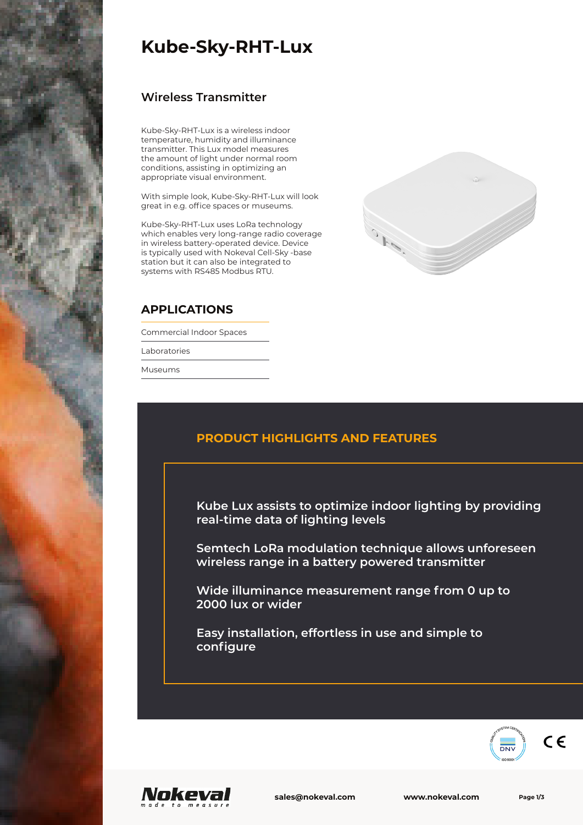

# **Kube-Sky-RHT-Lux**

#### **Wireless Transmitter**

Kube-Sky-RHT-Lux is a wireless indoor temperature, humidity and illuminance transmitter. This Lux model measures the amount of light under normal room conditions, assisting in optimizing an appropriate visual environment.

With simple look, Kube-Sky-RHT-Lux will look great in e.g. office spaces or museums.

Kube-Sky-RHT-Lux uses LoRa technology which enables very long-range radio coverage in wireless battery-operated device. Device is typically used with Nokeval Cell-Sky -base station but it can also be integrated to systems with RS485 Modbus RTU.



### **APPLICATIONS**

Commercial Indoor Spaces

Laboratories

Museums

### **PRODUCT HIGHLIGHTS AND FEATURES**

**Kube Lux assists to optimize indoor lighting by providing real-time data of lighting levels**

**Semtech LoRa modulation technique allows unforeseen wireless range in a battery powered transmitter**

**Wide illuminance measurement range from 0 up to 2000 lux or wider**

**Easy installation, effortless in use and simple to configure**



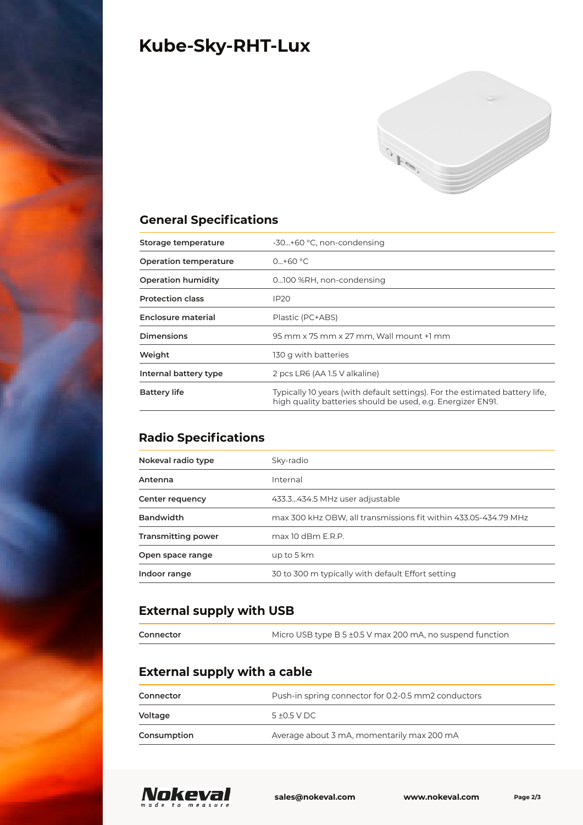## **Kube-Sky-RHT-Lux**



### **General Specifications**

| Storage temperature       | -30+60 °C, non-condensing                                                                                                                  |
|---------------------------|--------------------------------------------------------------------------------------------------------------------------------------------|
| Operation temperature     | $0+60 °C$                                                                                                                                  |
| <b>Operation humidity</b> | 0100 %RH, non-condensing                                                                                                                   |
| <b>Protection class</b>   | <b>IP20</b>                                                                                                                                |
| Enclosure material        | Plastic (PC+ABS)                                                                                                                           |
| <b>Dimensions</b>         | 95 mm x 75 mm x 27 mm, Wall mount +1 mm                                                                                                    |
| Weight                    | 130 g with batteries                                                                                                                       |
| Internal battery type     | 2 pcs LR6 (AA 1.5 V alkaline)                                                                                                              |
| <b>Battery life</b>       | Typically 10 years (with default settings). For the estimated battery life,<br>high quality batteries should be used, e.g. Energizer EN91. |

## **Radio Specifications**

| Nokeval radio type        | Sky-radio                                                       |
|---------------------------|-----------------------------------------------------------------|
| Antenna                   | Internal                                                        |
| Center requency           | 433.3434.5 MHz user adjustable                                  |
| <b>Bandwidth</b>          | max 300 kHz OBW, all transmissions fit within 433.05-434.79 MHz |
| <b>Transmitting power</b> | $max 10$ dBm E.R.P.                                             |
| Open space range          | up to 5 km                                                      |
| Indoor range              | 30 to 300 m typically with default Effort setting               |

## **External supply with USB**

| Connector | Micro USB type B 5 ±0.5 V max 200 mA, no suspend function |
|-----------|-----------------------------------------------------------|
|           |                                                           |

## **External supply with a cable**

| Consumption | Average about 3 mA, momentarily max 200 mA          |
|-------------|-----------------------------------------------------|
| Voltage     | $5 + 0.5$ V DC                                      |
| Connector   | Push-in spring connector for 0.2-0.5 mm2 conductors |
|             |                                                     |